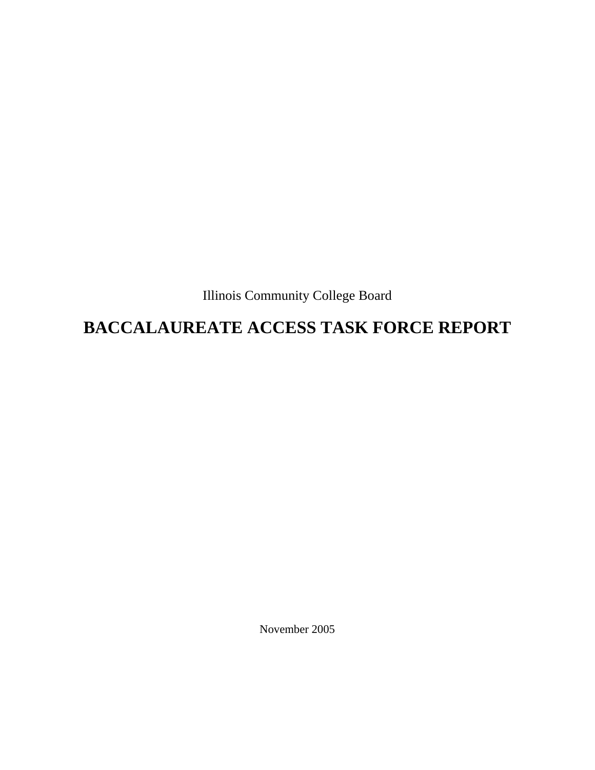Illinois Community College Board

# **BACCALAUREATE ACCESS TASK FORCE REPORT**

November 2005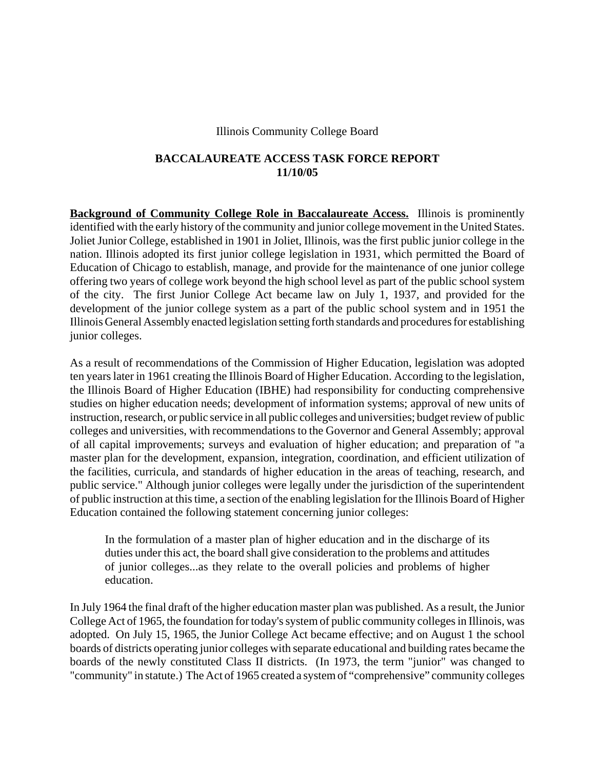#### Illinois Community College Board

### **BACCALAUREATE ACCESS TASK FORCE REPORT 11/10/05**

**Background of Community College Role in Baccalaureate Access.** Illinois is prominently identified with the early history of the community and junior college movement in the United States. Joliet Junior College, established in 1901 in Joliet, Illinois, was the first public junior college in the nation. Illinois adopted its first junior college legislation in 1931, which permitted the Board of Education of Chicago to establish, manage, and provide for the maintenance of one junior college offering two years of college work beyond the high school level as part of the public school system of the city. The first Junior College Act became law on July 1, 1937, and provided for the development of the junior college system as a part of the public school system and in 1951 the Illinois General Assembly enacted legislation setting forth standards and procedures for establishing junior colleges.

As a result of recommendations of the Commission of Higher Education, legislation was adopted ten years later in 1961 creating the Illinois Board of Higher Education. According to the legislation, the Illinois Board of Higher Education (IBHE) had responsibility for conducting comprehensive studies on higher education needs; development of information systems; approval of new units of instruction, research, or public service in all public colleges and universities; budget review of public colleges and universities, with recommendations to the Governor and General Assembly; approval of all capital improvements; surveys and evaluation of higher education; and preparation of "a master plan for the development, expansion, integration, coordination, and efficient utilization of the facilities, curricula, and standards of higher education in the areas of teaching, research, and public service." Although junior colleges were legally under the jurisdiction of the superintendent of public instruction at this time, a section of the enabling legislation for the Illinois Board of Higher Education contained the following statement concerning junior colleges:

In the formulation of a master plan of higher education and in the discharge of its duties under this act, the board shall give consideration to the problems and attitudes of junior colleges...as they relate to the overall policies and problems of higher education.

In July 1964 the final draft of the higher education master plan was published. As a result, the Junior College Act of 1965, the foundation for today's system of public community colleges in Illinois, was adopted. On July 15, 1965, the Junior College Act became effective; and on August 1 the school boards of districts operating junior colleges with separate educational and building rates became the boards of the newly constituted Class II districts. (In 1973, the term "junior" was changed to "community" in statute.) The Act of 1965 created a system of "comprehensive" community colleges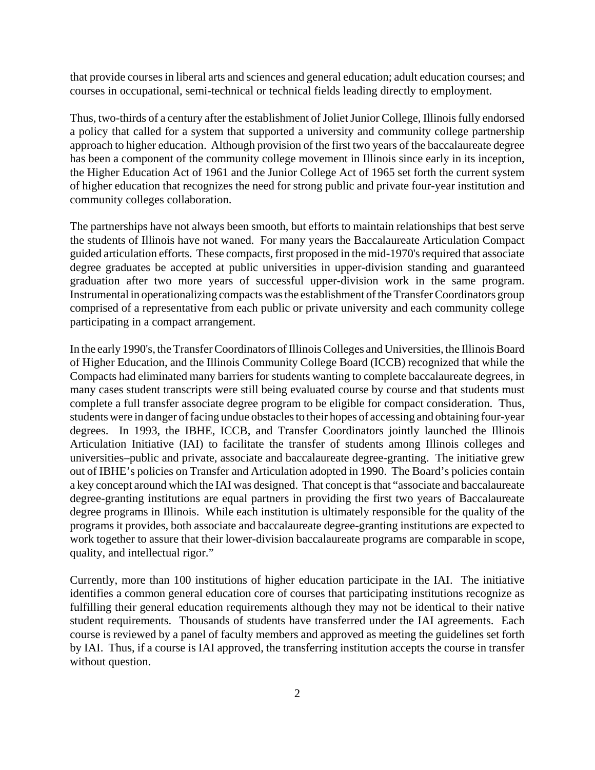that provide courses in liberal arts and sciences and general education; adult education courses; and courses in occupational, semi-technical or technical fields leading directly to employment.

Thus, two-thirds of a century after the establishment of Joliet Junior College, Illinois fully endorsed a policy that called for a system that supported a university and community college partnership approach to higher education. Although provision of the first two years of the baccalaureate degree has been a component of the community college movement in Illinois since early in its inception, the Higher Education Act of 1961 and the Junior College Act of 1965 set forth the current system of higher education that recognizes the need for strong public and private four-year institution and community colleges collaboration.

The partnerships have not always been smooth, but efforts to maintain relationships that best serve the students of Illinois have not waned. For many years the Baccalaureate Articulation Compact guided articulation efforts. These compacts, first proposed in the mid-1970's required that associate degree graduates be accepted at public universities in upper-division standing and guaranteed graduation after two more years of successful upper-division work in the same program. Instrumental in operationalizing compacts was the establishment of the Transfer Coordinators group comprised of a representative from each public or private university and each community college participating in a compact arrangement.

In the early 1990's, the Transfer Coordinators of Illinois Colleges and Universities, the Illinois Board of Higher Education, and the Illinois Community College Board (ICCB) recognized that while the Compacts had eliminated many barriers for students wanting to complete baccalaureate degrees, in many cases student transcripts were still being evaluated course by course and that students must complete a full transfer associate degree program to be eligible for compact consideration. Thus, students were in danger of facing undue obstacles to their hopes of accessing and obtaining four-year degrees. In 1993, the IBHE, ICCB, and Transfer Coordinators jointly launched the Illinois Articulation Initiative (IAI) to facilitate the transfer of students among Illinois colleges and universities–public and private, associate and baccalaureate degree-granting. The initiative grew out of IBHE's policies on Transfer and Articulation adopted in 1990. The Board's policies contain a key concept around which the IAI was designed. That concept is that "associate and baccalaureate degree-granting institutions are equal partners in providing the first two years of Baccalaureate degree programs in Illinois. While each institution is ultimately responsible for the quality of the programs it provides, both associate and baccalaureate degree-granting institutions are expected to work together to assure that their lower-division baccalaureate programs are comparable in scope, quality, and intellectual rigor."

Currently, more than 100 institutions of higher education participate in the IAI. The initiative identifies a common general education core of courses that participating institutions recognize as fulfilling their general education requirements although they may not be identical to their native student requirements. Thousands of students have transferred under the IAI agreements. Each course is reviewed by a panel of faculty members and approved as meeting the guidelines set forth by IAI. Thus, if a course is IAI approved, the transferring institution accepts the course in transfer without question.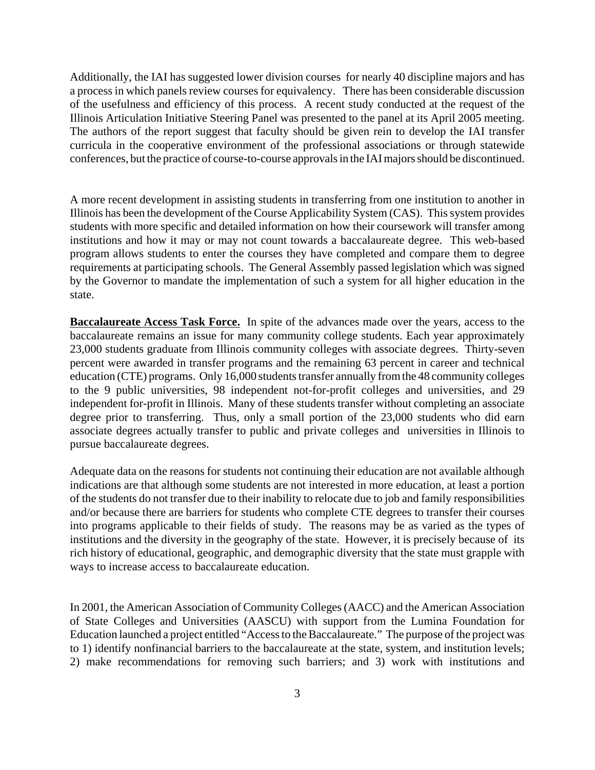Additionally, the IAI has suggested lower division courses for nearly 40 discipline majors and has a process in which panels review courses for equivalency. There has been considerable discussion of the usefulness and efficiency of this process. A recent study conducted at the request of the Illinois Articulation Initiative Steering Panel was presented to the panel at its April 2005 meeting. The authors of the report suggest that faculty should be given rein to develop the IAI transfer curricula in the cooperative environment of the professional associations or through statewide conferences, but the practice of course-to-course approvals in the IAI majors should be discontinued.

A more recent development in assisting students in transferring from one institution to another in Illinois has been the development of the Course Applicability System (CAS). This system provides students with more specific and detailed information on how their coursework will transfer among institutions and how it may or may not count towards a baccalaureate degree. This web-based program allows students to enter the courses they have completed and compare them to degree requirements at participating schools. The General Assembly passed legislation which was signed by the Governor to mandate the implementation of such a system for all higher education in the state.

**Baccalaureate Access Task Force.** In spite of the advances made over the years, access to the baccalaureate remains an issue for many community college students. Each year approximately 23,000 students graduate from Illinois community colleges with associate degrees. Thirty-seven percent were awarded in transfer programs and the remaining 63 percent in career and technical education (CTE) programs. Only 16,000 students transfer annually from the 48 community colleges to the 9 public universities, 98 independent not-for-profit colleges and universities, and 29 independent for-profit in Illinois. Many of these students transfer without completing an associate degree prior to transferring. Thus, only a small portion of the 23,000 students who did earn associate degrees actually transfer to public and private colleges and universities in Illinois to pursue baccalaureate degrees.

Adequate data on the reasons for students not continuing their education are not available although indications are that although some students are not interested in more education, at least a portion of the students do not transfer due to their inability to relocate due to job and family responsibilities and/or because there are barriers for students who complete CTE degrees to transfer their courses into programs applicable to their fields of study. The reasons may be as varied as the types of institutions and the diversity in the geography of the state. However, it is precisely because of its rich history of educational, geographic, and demographic diversity that the state must grapple with ways to increase access to baccalaureate education.

In 2001, the American Association of Community Colleges (AACC) and the American Association of State Colleges and Universities (AASCU) with support from the Lumina Foundation for Education launched a project entitled "Access to the Baccalaureate." The purpose of the project was to 1) identify nonfinancial barriers to the baccalaureate at the state, system, and institution levels; 2) make recommendations for removing such barriers; and 3) work with institutions and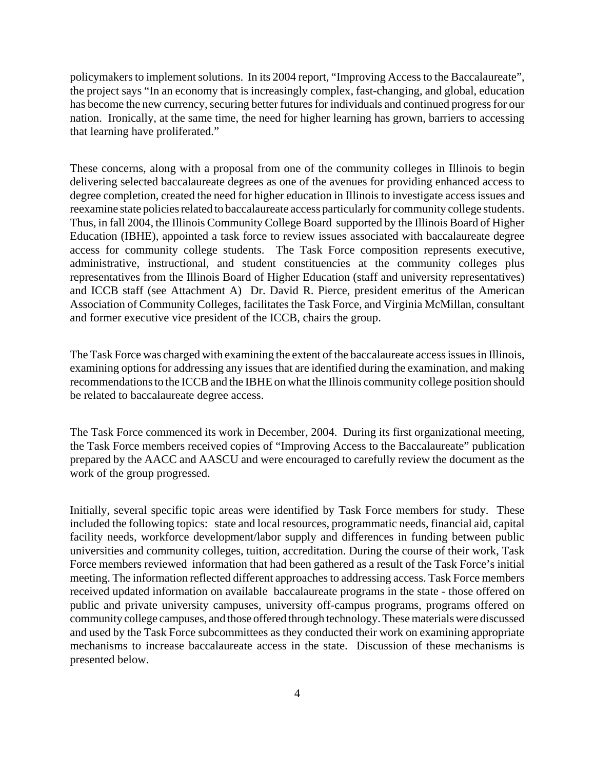policymakers to implement solutions. In its 2004 report, "Improving Access to the Baccalaureate", the project says "In an economy that is increasingly complex, fast-changing, and global, education has become the new currency, securing better futures for individuals and continued progress for our nation. Ironically, at the same time, the need for higher learning has grown, barriers to accessing that learning have proliferated."

These concerns, along with a proposal from one of the community colleges in Illinois to begin delivering selected baccalaureate degrees as one of the avenues for providing enhanced access to degree completion, created the need for higher education in Illinois to investigate access issues and reexamine state policies related to baccalaureate access particularly for community college students. Thus, in fall 2004, the Illinois Community College Board supported by the Illinois Board of Higher Education (IBHE), appointed a task force to review issues associated with baccalaureate degree access for community college students. The Task Force composition represents executive, administrative, instructional, and student constituencies at the community colleges plus representatives from the Illinois Board of Higher Education (staff and university representatives) and ICCB staff (see Attachment A) Dr. David R. Pierce, president emeritus of the American Association of Community Colleges, facilitates the Task Force, and Virginia McMillan, consultant and former executive vice president of the ICCB, chairs the group.

The Task Force was charged with examining the extent of the baccalaureate access issues in Illinois, examining options for addressing any issues that are identified during the examination, and making recommendations to the ICCB and the IBHE on what the Illinois community college position should be related to baccalaureate degree access.

The Task Force commenced its work in December, 2004. During its first organizational meeting, the Task Force members received copies of "Improving Access to the Baccalaureate" publication prepared by the AACC and AASCU and were encouraged to carefully review the document as the work of the group progressed.

Initially, several specific topic areas were identified by Task Force members for study. These included the following topics: state and local resources, programmatic needs, financial aid, capital facility needs, workforce development/labor supply and differences in funding between public universities and community colleges, tuition, accreditation. During the course of their work, Task Force members reviewed information that had been gathered as a result of the Task Force's initial meeting. The information reflected different approaches to addressing access. Task Force members received updated information on available baccalaureate programs in the state - those offered on public and private university campuses, university off-campus programs, programs offered on community college campuses, and those offered through technology. These materials were discussed and used by the Task Force subcommittees as they conducted their work on examining appropriate mechanisms to increase baccalaureate access in the state. Discussion of these mechanisms is presented below.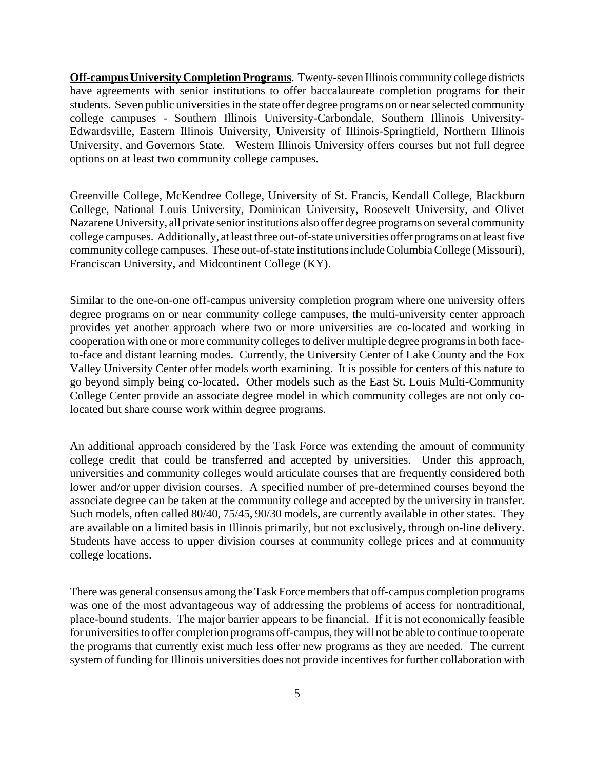**Off-campus University Completion Programs**. Twenty-seven Illinois community college districts have agreements with senior institutions to offer baccalaureate completion programs for their students. Seven public universities in the state offer degree programs on or near selected community college campuses - Southern Illinois University-Carbondale, Southern Illinois University-Edwardsville, Eastern Illinois University, University of Illinois-Springfield, Northern Illinois University, and Governors State. Western Illinois University offers courses but not full degree options on at least two community college campuses.

Greenville College, McKendree College, University of St. Francis, Kendall College, Blackburn College, National Louis University, Dominican University, Roosevelt University, and Olivet Nazarene University, all private senior institutions also offer degree programs on several community college campuses. Additionally, at least three out-of-state universities offer programs on at least five community college campuses. These out-of-state institutions include Columbia College (Missouri), Franciscan University, and Midcontinent College (KY).

Similar to the one-on-one off-campus university completion program where one university offers degree programs on or near community college campuses, the multi-university center approach provides yet another approach where two or more universities are co-located and working in cooperation with one or more community colleges to deliver multiple degree programs in both faceto-face and distant learning modes. Currently, the University Center of Lake County and the Fox Valley University Center offer models worth examining. It is possible for centers of this nature to go beyond simply being co-located. Other models such as the East St. Louis Multi-Community College Center provide an associate degree model in which community colleges are not only colocated but share course work within degree programs.

An additional approach considered by the Task Force was extending the amount of community college credit that could be transferred and accepted by universities. Under this approach, universities and community colleges would articulate courses that are frequently considered both lower and/or upper division courses. A specified number of pre-determined courses beyond the associate degree can be taken at the community college and accepted by the university in transfer. Such models, often called 80/40, 75/45, 90/30 models, are currently available in other states. They are available on a limited basis in Illinois primarily, but not exclusively, through on-line delivery. Students have access to upper division courses at community college prices and at community college locations.

There was general consensus among the Task Force members that off-campus completion programs was one of the most advantageous way of addressing the problems of access for nontraditional, place-bound students. The major barrier appears to be financial. If it is not economically feasible for universities to offer completion programs off-campus, they will not be able to continue to operate the programs that currently exist much less offer new programs as they are needed. The current system of funding for Illinois universities does not provide incentives for further collaboration with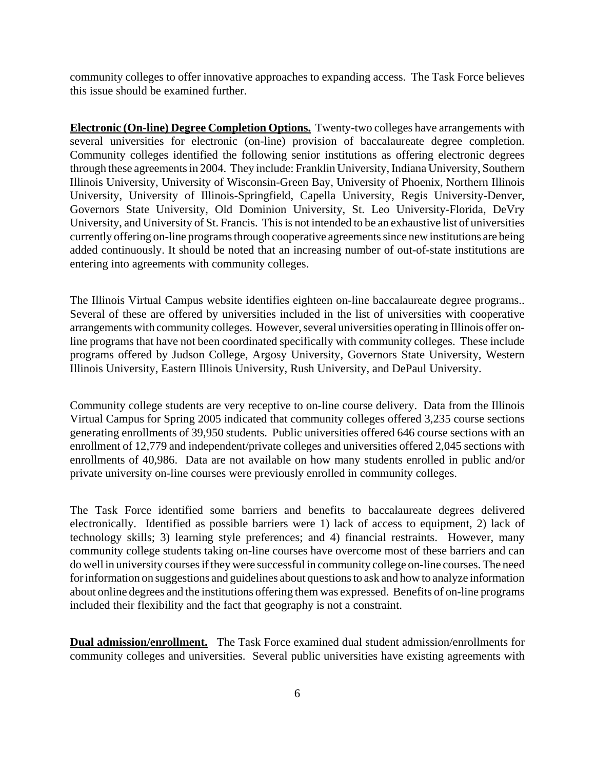community colleges to offer innovative approaches to expanding access. The Task Force believes this issue should be examined further.

**Electronic (On-line) Degree Completion Options.** Twenty-two colleges have arrangements with several universities for electronic (on-line) provision of baccalaureate degree completion. Community colleges identified the following senior institutions as offering electronic degrees through these agreements in 2004. They include: Franklin University, Indiana University, Southern Illinois University, University of Wisconsin-Green Bay, University of Phoenix, Northern Illinois University, University of Illinois-Springfield, Capella University, Regis University-Denver, Governors State University, Old Dominion University, St. Leo University-Florida, DeVry University, and University of St. Francis. This is not intended to be an exhaustive list of universities currently offering on-line programs through cooperative agreements since new institutions are being added continuously. It should be noted that an increasing number of out-of-state institutions are entering into agreements with community colleges.

The Illinois Virtual Campus website identifies eighteen on-line baccalaureate degree programs.. Several of these are offered by universities included in the list of universities with cooperative arrangements with community colleges. However, several universities operating in Illinois offer online programs that have not been coordinated specifically with community colleges. These include programs offered by Judson College, Argosy University, Governors State University, Western Illinois University, Eastern Illinois University, Rush University, and DePaul University.

Community college students are very receptive to on-line course delivery. Data from the Illinois Virtual Campus for Spring 2005 indicated that community colleges offered 3,235 course sections generating enrollments of 39,950 students. Public universities offered 646 course sections with an enrollment of 12,779 and independent/private colleges and universities offered 2,045 sections with enrollments of 40,986. Data are not available on how many students enrolled in public and/or private university on-line courses were previously enrolled in community colleges.

The Task Force identified some barriers and benefits to baccalaureate degrees delivered electronically. Identified as possible barriers were 1) lack of access to equipment, 2) lack of technology skills; 3) learning style preferences; and 4) financial restraints. However, many community college students taking on-line courses have overcome most of these barriers and can do well in university courses if they were successful in community college on-line courses. The need for information on suggestions and guidelines about questions to ask and how to analyze information about online degrees and the institutions offering them was expressed. Benefits of on-line programs included their flexibility and the fact that geography is not a constraint.

**Dual admission/enrollment.** The Task Force examined dual student admission/enrollments for community colleges and universities. Several public universities have existing agreements with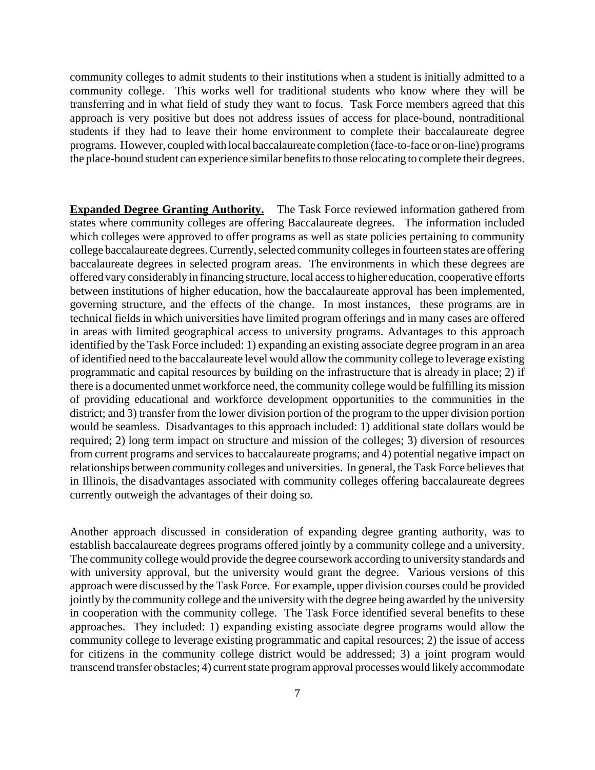community colleges to admit students to their institutions when a student is initially admitted to a community college. This works well for traditional students who know where they will be transferring and in what field of study they want to focus. Task Force members agreed that this approach is very positive but does not address issues of access for place-bound, nontraditional students if they had to leave their home environment to complete their baccalaureate degree programs. However, coupled with local baccalaureate completion (face-to-face or on-line) programs the place-bound student can experience similar benefits to those relocating to complete their degrees.

**Expanded Degree Granting Authority.** The Task Force reviewed information gathered from states where community colleges are offering Baccalaureate degrees. The information included which colleges were approved to offer programs as well as state policies pertaining to community college baccalaureate degrees. Currently, selected community colleges in fourteen states are offering baccalaureate degrees in selected program areas. The environments in which these degrees are offered vary considerably in financing structure, local access to higher education, cooperative efforts between institutions of higher education, how the baccalaureate approval has been implemented, governing structure, and the effects of the change. In most instances, these programs are in technical fields in which universities have limited program offerings and in many cases are offered in areas with limited geographical access to university programs. Advantages to this approach identified by the Task Force included: 1) expanding an existing associate degree program in an area of identified need to the baccalaureate level would allow the community college to leverage existing programmatic and capital resources by building on the infrastructure that is already in place; 2) if there is a documented unmet workforce need, the community college would be fulfilling its mission of providing educational and workforce development opportunities to the communities in the district; and 3) transfer from the lower division portion of the program to the upper division portion would be seamless. Disadvantages to this approach included: 1) additional state dollars would be required; 2) long term impact on structure and mission of the colleges; 3) diversion of resources from current programs and services to baccalaureate programs; and 4) potential negative impact on relationships between community colleges and universities. In general, the Task Force believes that in Illinois, the disadvantages associated with community colleges offering baccalaureate degrees currently outweigh the advantages of their doing so.

Another approach discussed in consideration of expanding degree granting authority, was to establish baccalaureate degrees programs offered jointly by a community college and a university. The community college would provide the degree coursework according to university standards and with university approval, but the university would grant the degree. Various versions of this approach were discussed by the Task Force. For example, upper division courses could be provided jointly by the community college and the university with the degree being awarded by the university in cooperation with the community college. The Task Force identified several benefits to these approaches. They included: 1) expanding existing associate degree programs would allow the community college to leverage existing programmatic and capital resources; 2) the issue of access for citizens in the community college district would be addressed; 3) a joint program would transcend transfer obstacles; 4) current state program approval processes would likely accommodate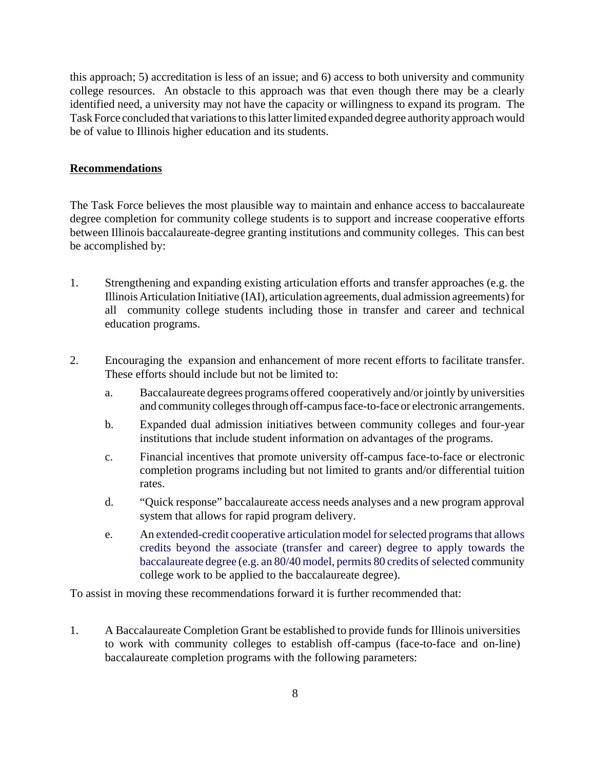this approach; 5) accreditation is less of an issue; and 6) access to both university and community college resources. An obstacle to this approach was that even though there may be a clearly identified need, a university may not have the capacity or willingness to expand its program. The Task Force concluded that variations to this latter limited expanded degree authority approach would be of value to Illinois higher education and its students.

#### **Recommendations**

The Task Force believes the most plausible way to maintain and enhance access to baccalaureate degree completion for community college students is to support and increase cooperative efforts between Illinois baccalaureate-degree granting institutions and community colleges. This can best be accomplished by:

- 1. Strengthening and expanding existing articulation efforts and transfer approaches (e.g. the Illinois Articulation Initiative (IAI), articulation agreements, dual admission agreements) for all community college students including those in transfer and career and technical education programs.
- 2. Encouraging the expansion and enhancement of more recent efforts to facilitate transfer. These efforts should include but not be limited to:
	- a. Baccalaureate degrees programs offered cooperatively and/or jointly by universities and community colleges through off-campus face-to-face or electronic arrangements.
	- b. Expanded dual admission initiatives between community colleges and four-year institutions that include student information on advantages of the programs.
	- c. Financial incentives that promote university off-campus face-to-face or electronic completion programs including but not limited to grants and/or differential tuition rates.
	- d. "Quick response" baccalaureate access needs analyses and a new program approval system that allows for rapid program delivery.
	- e. An extended-credit cooperative articulation model for selected programs that allows credits beyond the associate (transfer and career) degree to apply towards the baccalaureate degree (e.g. an 80/40 model, permits 80 credits of selected community college work to be applied to the baccalaureate degree).

To assist in moving these recommendations forward it is further recommended that:

1. A Baccalaureate Completion Grant be established to provide funds for Illinois universities to work with community colleges to establish off-campus (face-to-face and on-line) baccalaureate completion programs with the following parameters: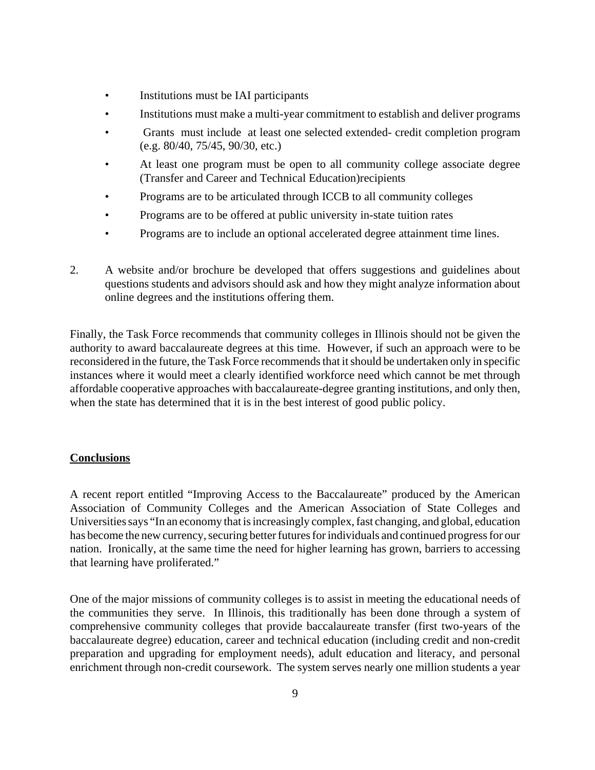- Institutions must be IAI participants
- Institutions must make a multi-year commitment to establish and deliver programs
- Grants must include at least one selected extended- credit completion program (e.g. 80/40, 75/45, 90/30, etc.)
- At least one program must be open to all community college associate degree (Transfer and Career and Technical Education)recipients
- Programs are to be articulated through ICCB to all community colleges
- Programs are to be offered at public university in-state tuition rates
- Programs are to include an optional accelerated degree attainment time lines.
- 2. A website and/or brochure be developed that offers suggestions and guidelines about questions students and advisors should ask and how they might analyze information about online degrees and the institutions offering them.

Finally, the Task Force recommends that community colleges in Illinois should not be given the authority to award baccalaureate degrees at this time. However, if such an approach were to be reconsidered in the future, the Task Force recommends that it should be undertaken only in specific instances where it would meet a clearly identified workforce need which cannot be met through affordable cooperative approaches with baccalaureate-degree granting institutions, and only then, when the state has determined that it is in the best interest of good public policy.

#### **Conclusions**

A recent report entitled "Improving Access to the Baccalaureate" produced by the American Association of Community Colleges and the American Association of State Colleges and Universities says "In an economy that is increasingly complex, fast changing, and global, education has become the new currency, securing better futures for individuals and continued progress for our nation. Ironically, at the same time the need for higher learning has grown, barriers to accessing that learning have proliferated."

One of the major missions of community colleges is to assist in meeting the educational needs of the communities they serve. In Illinois, this traditionally has been done through a system of comprehensive community colleges that provide baccalaureate transfer (first two-years of the baccalaureate degree) education, career and technical education (including credit and non-credit preparation and upgrading for employment needs), adult education and literacy, and personal enrichment through non-credit coursework. The system serves nearly one million students a year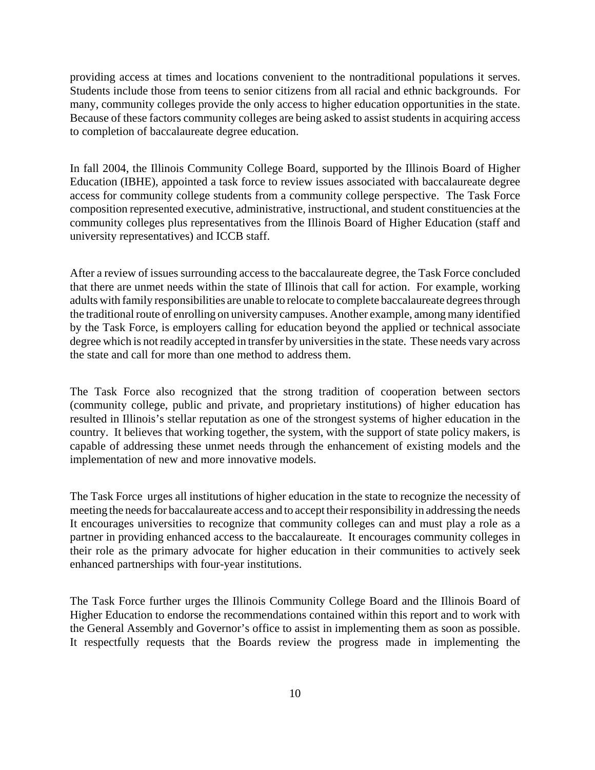providing access at times and locations convenient to the nontraditional populations it serves. Students include those from teens to senior citizens from all racial and ethnic backgrounds. For many, community colleges provide the only access to higher education opportunities in the state. Because of these factors community colleges are being asked to assist students in acquiring access to completion of baccalaureate degree education.

In fall 2004, the Illinois Community College Board, supported by the Illinois Board of Higher Education (IBHE), appointed a task force to review issues associated with baccalaureate degree access for community college students from a community college perspective. The Task Force composition represented executive, administrative, instructional, and student constituencies at the community colleges plus representatives from the Illinois Board of Higher Education (staff and university representatives) and ICCB staff.

After a review of issues surrounding access to the baccalaureate degree, the Task Force concluded that there are unmet needs within the state of Illinois that call for action. For example, working adults with family responsibilities are unable to relocate to complete baccalaureate degrees through the traditional route of enrolling on university campuses. Another example, among many identified by the Task Force, is employers calling for education beyond the applied or technical associate degree which is not readily accepted in transfer by universities in the state. These needs vary across the state and call for more than one method to address them.

The Task Force also recognized that the strong tradition of cooperation between sectors (community college, public and private, and proprietary institutions) of higher education has resulted in Illinois's stellar reputation as one of the strongest systems of higher education in the country. It believes that working together, the system, with the support of state policy makers, is capable of addressing these unmet needs through the enhancement of existing models and the implementation of new and more innovative models.

The Task Force urges all institutions of higher education in the state to recognize the necessity of meeting the needs for baccalaureate access and to accept their responsibility in addressing the needs It encourages universities to recognize that community colleges can and must play a role as a partner in providing enhanced access to the baccalaureate. It encourages community colleges in their role as the primary advocate for higher education in their communities to actively seek enhanced partnerships with four-year institutions.

The Task Force further urges the Illinois Community College Board and the Illinois Board of Higher Education to endorse the recommendations contained within this report and to work with the General Assembly and Governor's office to assist in implementing them as soon as possible. It respectfully requests that the Boards review the progress made in implementing the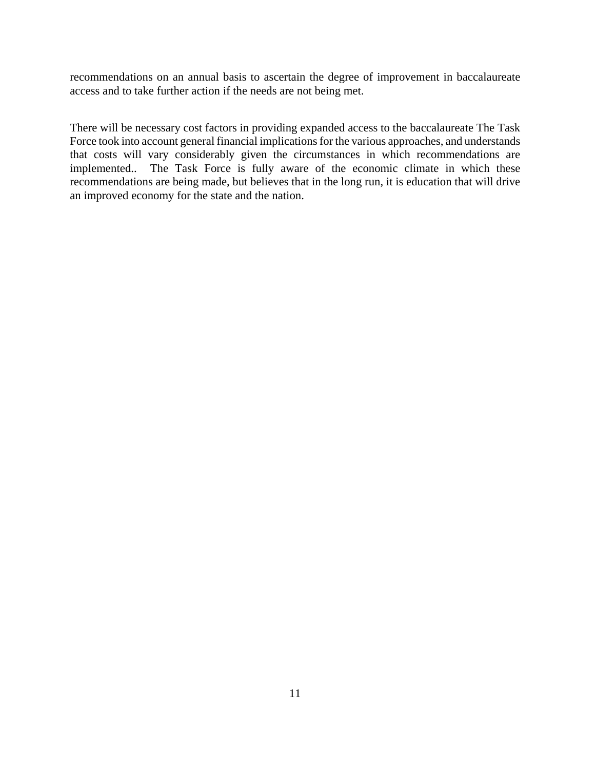recommendations on an annual basis to ascertain the degree of improvement in baccalaureate access and to take further action if the needs are not being met.

There will be necessary cost factors in providing expanded access to the baccalaureate The Task Force took into account general financial implications for the various approaches, and understands that costs will vary considerably given the circumstances in which recommendations are implemented.. The Task Force is fully aware of the economic climate in which these recommendations are being made, but believes that in the long run, it is education that will drive an improved economy for the state and the nation.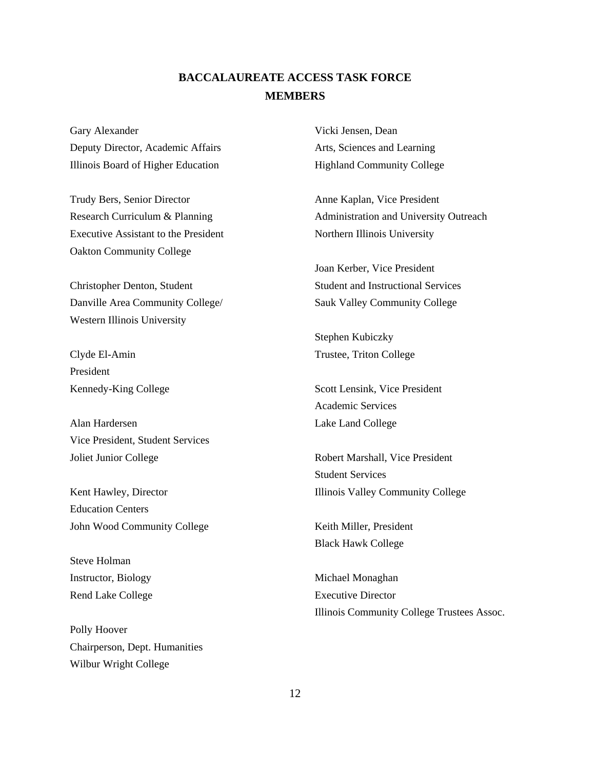## **BACCALAUREATE ACCESS TASK FORCE MEMBERS**

Gary Alexander Deputy Director, Academic Affairs Illinois Board of Higher Education

Trudy Bers, Senior Director Research Curriculum & Planning Executive Assistant to the President Oakton Community College

Christopher Denton, Student Danville Area Community College/ Western Illinois University

Clyde El-Amin President Kennedy-King College

Alan Hardersen Vice President, Student Services Joliet Junior College

Kent Hawley, Director Education Centers John Wood Community College

Steve Holman Instructor, Biology Rend Lake College

Polly Hoover Chairperson, Dept. Humanities Wilbur Wright College

Vicki Jensen, Dean Arts, Sciences and Learning Highland Community College

Anne Kaplan, Vice President Administration and University Outreach Northern Illinois University

Joan Kerber, Vice President Student and Instructional Services Sauk Valley Community College

Stephen Kubiczky Trustee, Triton College

Scott Lensink, Vice President Academic Services Lake Land College

Robert Marshall, Vice President Student Services Illinois Valley Community College

Keith Miller, President Black Hawk College

Michael Monaghan Executive Director Illinois Community College Trustees Assoc.